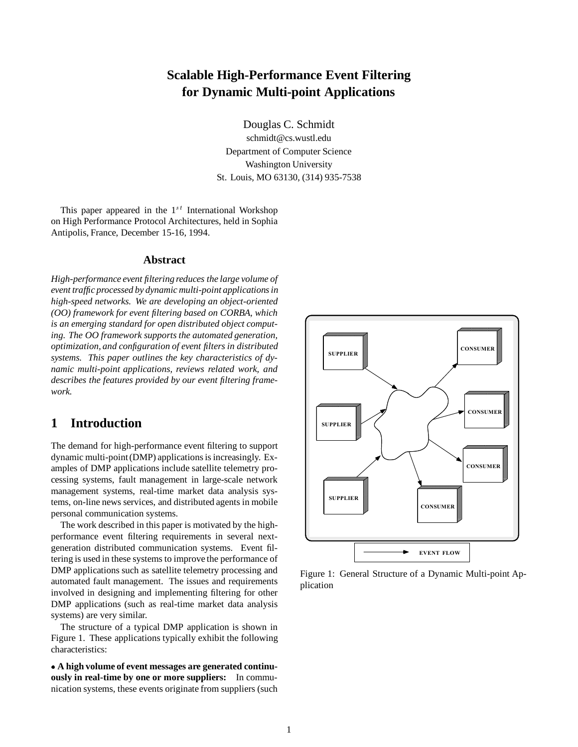# **Scalable High-Performance Event Filtering for Dynamic Multi-point Applications**

Douglas C. Schmidt

schmidt@cs.wustl.edu Department of Computer Science Washington University St. Louis, MO 63130, (314) 935-7538

This paper appeared in the  $1^{st}$  International Workshop on High Performance Protocol Architectures, held in Sophia Antipolis, France, December 15-16, 1994.

## **Abstract**

*High-performance event filtering reduces the large volume of event traffic processed by dynamic multi-point applications in high-speed networks. We are developing an object-oriented (OO) framework for event filtering based on CORBA, which is an emerging standard for open distributed object computing. The OO framework supports the automated generation, optimization, and configuration of event filters in distributed systems. This paper outlines the key characteristics of dynamic multi-point applications, reviews related work, and describes the features provided by our event filtering framework.*

# **1 Introduction**

The demand for high-performance event filtering to support dynamic multi-point (DMP) applications is increasingly. Examples of DMP applications include satellite telemetry processing systems, fault management in large-scale network management systems, real-time market data analysis systems, on-line news services, and distributed agents in mobile personal communication systems.

The work described in this paper is motivated by the highperformance event filtering requirements in several nextgeneration distributed communication systems. Event filtering is used in these systems to improve the performance of DMP applications such as satellite telemetry processing and automated fault management. The issues and requirements involved in designing and implementing filtering for other DMP applications (such as real-time market data analysis systems) are very similar.

The structure of a typical DMP application is shown in Figure 1. These applications typically exhibit the following characteristics:

 **A high volume of event messages are generated continuously in real-time by one or more suppliers:** In communication systems, these events originate from suppliers (such



Figure 1: General Structure of a Dynamic Multi-point Application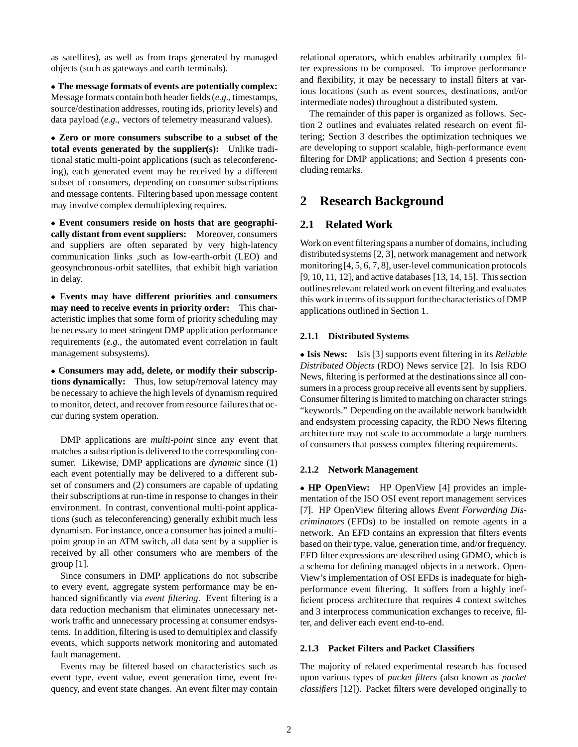as satellites), as well as from traps generated by managed objects (such as gateways and earth terminals).

 **The message formats of events are potentially complex:** Message formats contain both header fields (*e.g.,* timestamps, source/destination addresses, routing ids, priority levels) and data payload (*e.g.,* vectors of telemetry measurand values).

 **Zero or more consumers subscribe to a subset of the total events generated by the supplier(s):** Unlike traditional static multi-point applications (such as teleconferencing), each generated event may be received by a different subset of consumers, depending on consumer subscriptions and message contents. Filtering based upon message content may involve complex demultiplexing requires.

 **Event consumers reside on hosts that are geographically distant from event suppliers:** Moreover, consumers and suppliers are often separated by very high-latency communication links ,such as low-earth-orbit (LEO) and geosynchronous-orbit satellites, that exhibit high variation in delay.

 **Events may have different priorities and consumers may need to receive events in priority order:** This characteristic implies that some form of priority scheduling may be necessary to meet stringent DMP application performance requirements (*e.g.,* the automated event correlation in fault management subsystems).

 **Consumers may add, delete, or modify their subscriptions dynamically:** Thus, low setup/removal latency may be necessary to achieve the high levels of dynamism required to monitor, detect, and recover from resource failures that occur during system operation.

DMP applications are *multi-point* since any event that matches a subscription is delivered to the corresponding consumer. Likewise, DMP applications are *dynamic* since (1) each event potentially may be delivered to a different subset of consumers and (2) consumers are capable of updating their subscriptions at run-time in response to changes in their environment. In contrast, conventional multi-point applications (such as teleconferencing) generally exhibit much less dynamism. For instance, once a consumer has joined a multipoint group in an ATM switch, all data sent by a supplier is received by all other consumers who are members of the group  $[1]$ .

Since consumers in DMP applications do not subscribe to every event, aggregate system performance may be enhanced significantly via *event filtering*. Event filtering is a data reduction mechanism that eliminates unnecessary network traffic and unnecessary processing at consumer endsystems. In addition, filtering is used to demultiplex and classify events, which supports network monitoring and automated fault management.

Events may be filtered based on characteristics such as event type, event value, event generation time, event frequency, and event state changes. An event filter may contain relational operators, which enables arbitrarily complex filter expressions to be composed. To improve performance and flexibility, it may be necessary to install filters at various locations (such as event sources, destinations, and/or intermediate nodes) throughout a distributed system.

The remainder of this paper is organized as follows. Section 2 outlines and evaluates related research on event filtering; Section 3 describes the optimization techniques we are developing to support scalable, high-performance event filtering for DMP applications; and Section 4 presents concluding remarks.

# **2 Research Background**

## **2.1 Related Work**

Work on event filtering spans a number of domains, including distributed systems [2, 3], network management and network monitoring[4, 5, 6, 7, 8], user-level communication protocols [9, 10, 11, 12], and active databases [13, 14, 15]. This section outlinesrelevant related work on event filtering and evaluates this work in terms of its support for the characteristics of DMP applications outlined in Section 1.

## **2.1.1 Distributed Systems**

 **Isis News:** Isis [3] supports event filtering in its *Reliable Distributed Objects* (RDO) News service [2]. In Isis RDO News, filtering is performed at the destinations since all consumers in a process group receive all events sent by suppliers. Consumer filtering is limited to matching on character strings "keywords." Depending on the available network bandwidth and endsystem processing capacity, the RDO News filtering architecture may not scale to accommodate a large numbers of consumers that possess complex filtering requirements.

## **2.1.2 Network Management**

 **HP OpenView:** HP OpenView [4] provides an implementation of the ISO OSI event report management services [7]. HP OpenView filtering allows *Event Forwarding Discriminators* (EFDs) to be installed on remote agents in a network. An EFD contains an expression that filters events based on their type, value, generation time, and/or frequency. EFD filter expressions are described using GDMO, which is a schema for defining managed objects in a network. Open-View's implementation of OSI EFDs is inadequate for highperformance event filtering. It suffers from a highly inefficient process architecture that requires 4 context switches and 3 interprocess communication exchanges to receive, filter, and deliver each event end-to-end.

## **2.1.3 Packet Filters and Packet Classifiers**

The majority of related experimental research has focused upon various types of *packet filters* (also known as *packet classifiers* [12]). Packet filters were developed originally to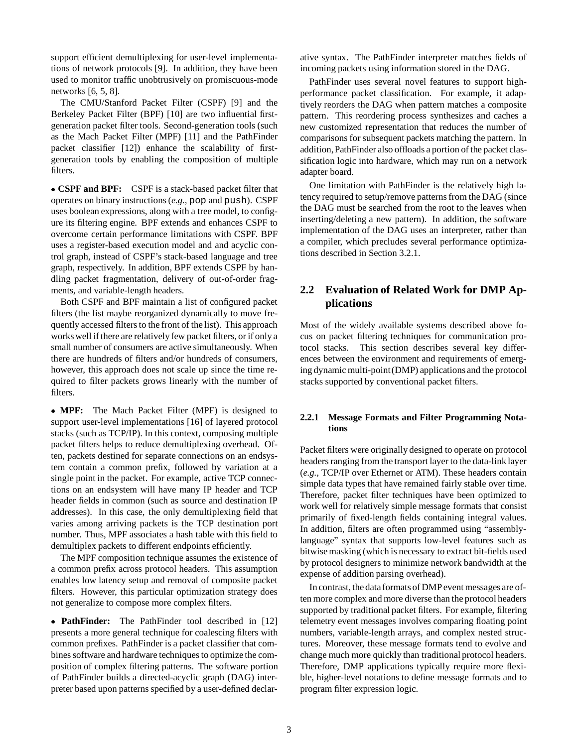support efficient demultiplexing for user-level implementations of network protocols [9]. In addition, they have been used to monitor traffic unobtrusively on promiscuous-mode networks [6, 5, 8].

The CMU/Stanford Packet Filter (CSPF) [9] and the Berkeley Packet Filter (BPF) [10] are two influential firstgeneration packet filter tools. Second-generation tools (such as the Mach Packet Filter (MPF) [11] and the PathFinder packet classifier [12]) enhance the scalability of firstgeneration tools by enabling the composition of multiple filters.

 **CSPF and BPF:** CSPF is a stack-based packet filter that operates on binary instructions (*e.g.,* pop and push). CSPF uses boolean expressions, along with a tree model, to configure its filtering engine. BPF extends and enhances CSPF to overcome certain performance limitations with CSPF. BPF uses a register-based execution model and and acyclic control graph, instead of CSPF's stack-based language and tree graph, respectively. In addition, BPF extends CSPF by handling packet fragmentation, delivery of out-of-order fragments, and variable-length headers.

Both CSPF and BPF maintain a list of configured packet filters (the list maybe reorganized dynamically to move frequently accessed filters to the front of the list). This approach works well if there are relativelyfew packet filters, or if only a small number of consumers are active simultaneously. When there are hundreds of filters and/or hundreds of consumers, however, this approach does not scale up since the time required to filter packets grows linearly with the number of filters.

 **MPF:** The Mach Packet Filter (MPF) is designed to support user-level implementations [16] of layered protocol stacks (such as TCP/IP). In this context, composing multiple packet filters helps to reduce demultiplexing overhead. Often, packets destined for separate connections on an endsystem contain a common prefix, followed by variation at a single point in the packet. For example, active TCP connections on an endsystem will have many IP header and TCP header fields in common (such as source and destination IP addresses). In this case, the only demultiplexing field that varies among arriving packets is the TCP destination port number. Thus, MPF associates a hash table with this field to demultiplex packets to different endpoints efficiently.

The MPF composition technique assumes the existence of a common prefix across protocol headers. This assumption enables low latency setup and removal of composite packet filters. However, this particular optimization strategy does not generalize to compose more complex filters.

 **PathFinder:** The PathFinder tool described in [12] presents a more general technique for coalescing filters with common prefixes. PathFinder is a packet classifier that combines software and hardware techniques to optimize the composition of complex filtering patterns. The software portion of PathFinder builds a directed-acyclic graph (DAG) interpreter based upon patterns specified by a user-defined declarative syntax. The PathFinder interpreter matches fields of incoming packets using information stored in the DAG.

PathFinder uses several novel features to support highperformance packet classification. For example, it adaptively reorders the DAG when pattern matches a composite pattern. This reordering process synthesizes and caches a new customized representation that reduces the number of comparisons for subsequent packets matching the pattern. In addition,PathFinder also offloads a portion of the packet classification logic into hardware, which may run on a network adapter board.

One limitation with PathFinder is the relatively high latency required to setup/remove patterns from the DAG (since the DAG must be searched from the root to the leaves when inserting/deleting a new pattern). In addition, the software implementation of the DAG uses an interpreter, rather than a compiler, which precludes several performance optimizations described in Section 3.2.1.

# **2.2 Evaluation of Related Work for DMP Applications**

Most of the widely available systems described above focus on packet filtering techniques for communication protocol stacks. This section describes several key differences between the environment and requirements of emerging dynamic multi-point(DMP) applications and the protocol stacks supported by conventional packet filters.

### **2.2.1 Message Formats and Filter Programming Notations**

Packet filters were originally designed to operate on protocol headers ranging from the transport layer to the data-link layer (*e.g.,* TCP/IP over Ethernet or ATM). These headers contain simple data types that have remained fairly stable over time. Therefore, packet filter techniques have been optimized to work well for relatively simple message formats that consist primarily of fixed-length fields containing integral values. In addition, filters are often programmed using "assemblylanguage" syntax that supports low-level features such as bitwise masking (which is necessary to extract bit-fields used by protocol designers to minimize network bandwidth at the expense of addition parsing overhead).

In contrast, the data formats of DMP event messages are often more complex and more diverse than the protocol headers supported by traditional packet filters. For example, filtering telemetry event messages involves comparing floating point numbers, variable-length arrays, and complex nested structures. Moreover, these message formats tend to evolve and change much more quickly than traditional protocol headers. Therefore, DMP applications typically require more flexible, higher-level notations to define message formats and to program filter expression logic.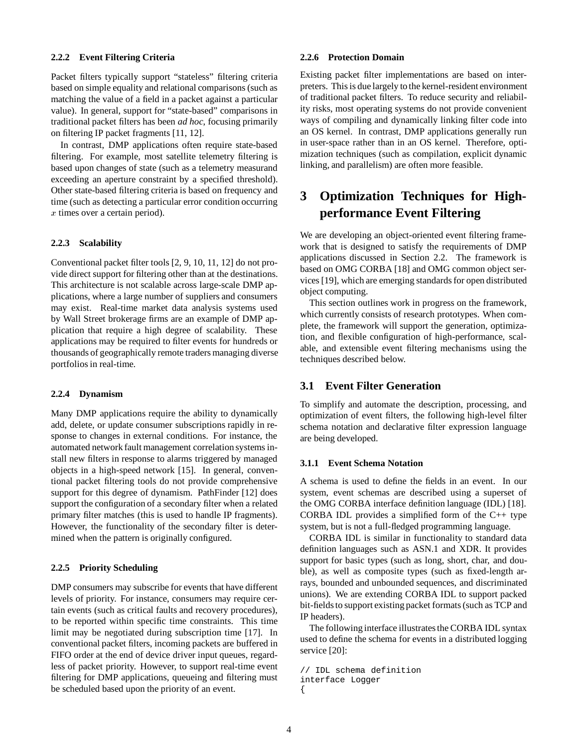#### **2.2.2 Event Filtering Criteria**

Packet filters typically support "stateless" filtering criteria based on simple equality and relational comparisons (such as matching the value of a field in a packet against a particular value). In general, support for "state-based" comparisons in traditional packet filters has been *ad hoc*, focusing primarily on filtering IP packet fragments [11, 12].

In contrast, DMP applications often require state-based filtering. For example, most satellite telemetry filtering is based upon changes of state (such as a telemetry measurand exceeding an aperture constraint by a specified threshold). Other state-based filtering criteria is based on frequency and time (such as detecting a particular error condition occurring <sup>x</sup> times over a certain period).

#### **2.2.3 Scalability**

Conventional packet filter tools [2, 9, 10, 11, 12] do not provide direct support for filtering other than at the destinations. This architecture is not scalable across large-scale DMP applications, where a large number of suppliers and consumers may exist. Real-time market data analysis systems used by Wall Street brokerage firms are an example of DMP application that require a high degree of scalability. These applications may be required to filter events for hundreds or thousands of geographically remote traders managing diverse portfolios in real-time.

#### **2.2.4 Dynamism**

Many DMP applications require the ability to dynamically add, delete, or update consumer subscriptions rapidly in response to changes in external conditions. For instance, the automated network fault management correlation systems install new filters in response to alarms triggered by managed objects in a high-speed network [15]. In general, conventional packet filtering tools do not provide comprehensive support for this degree of dynamism. PathFinder [12] does support the configuration of a secondary filter when a related primary filter matches (this is used to handle IP fragments). However, the functionality of the secondary filter is determined when the pattern is originally configured.

#### **2.2.5 Priority Scheduling**

DMP consumers may subscribe for events that have different levels of priority. For instance, consumers may require certain events (such as critical faults and recovery procedures), to be reported within specific time constraints. This time limit may be negotiated during subscription time [17]. In conventional packet filters, incoming packets are buffered in FIFO order at the end of device driver input queues, regardless of packet priority. However, to support real-time event filtering for DMP applications, queueing and filtering must be scheduled based upon the priority of an event.

#### **2.2.6 Protection Domain**

Existing packet filter implementations are based on interpreters. This is due largely to the kernel-resident environment of traditional packet filters. To reduce security and reliability risks, most operating systems do not provide convenient ways of compiling and dynamically linking filter code into an OS kernel. In contrast, DMP applications generally run in user-space rather than in an OS kernel. Therefore, optimization techniques (such as compilation, explicit dynamic linking, and parallelism) are often more feasible.

# **3 Optimization Techniques for Highperformance Event Filtering**

We are developing an object-oriented event filtering framework that is designed to satisfy the requirements of DMP applications discussed in Section 2.2. The framework is based on OMG CORBA [18] and OMG common object services [19], which are emerging standards for open distributed object computing.

This section outlines work in progress on the framework, which currently consists of research prototypes. When complete, the framework will support the generation, optimization, and flexible configuration of high-performance, scalable, and extensible event filtering mechanisms using the techniques described below.

## **3.1 Event Filter Generation**

To simplify and automate the description, processing, and optimization of event filters, the following high-level filter schema notation and declarative filter expression language are being developed.

#### **3.1.1 Event Schema Notation**

A schema is used to define the fields in an event. In our system, event schemas are described using a superset of the OMG CORBA interface definition language (IDL) [18]. CORBA IDL provides a simplified form of the  $C_{++}$  type system, but is not a full-fledged programming language.

CORBA IDL is similar in functionality to standard data definition languages such as ASN.1 and XDR. It provides support for basic types (such as long, short, char, and double), as well as composite types (such as fixed-length arrays, bounded and unbounded sequences, and discriminated unions). We are extending CORBA IDL to support packed bit-fields to support existing packet formats (such as TCP and IP headers).

The following interface illustrates the CORBA IDL syntax used to define the schema for events in a distributed logging service [20]:

```
// IDL schema definition
interface Logger
{
```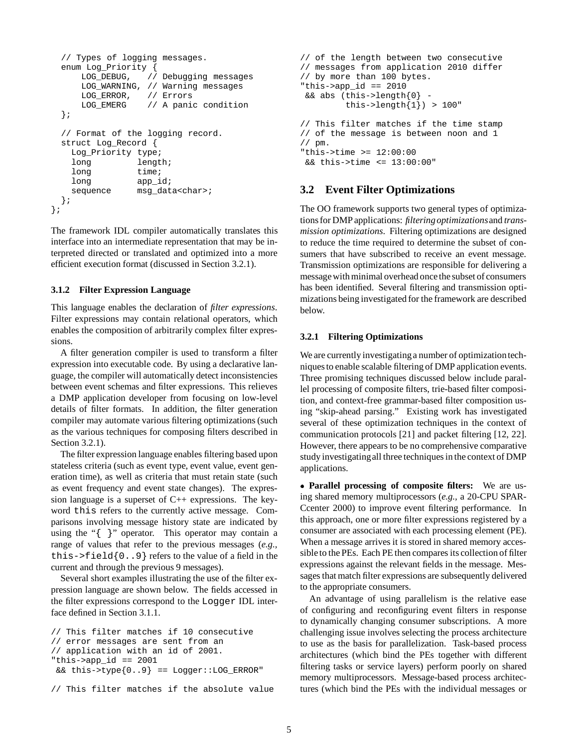```
// Types of logging messages.
 enum Log_Priority {
     LOG_DEBUG, // Debugging messages
     LOG_WARNING, // Warning messages
     LOG_ERROR, // Errors
     LOG EMERG // A panic condition
 };
  // Format of the logging record.
 struct Log_Record {
   Log_Priority type;
   long length;
   long time;
   long app_id;
   sequence msg_data<char>;
 };
};
```
The framework IDL compiler automatically translates this interface into an intermediate representation that may be interpreted directed or translated and optimized into a more efficient execution format (discussed in Section 3.2.1).

#### **3.1.2 Filter Expression Language**

This language enables the declaration of *filter expressions*. Filter expressions may contain relational operators, which enables the composition of arbitrarily complex filter expressions.

A filter generation compiler is used to transform a filter expression into executable code. By using a declarative language, the compiler will automatically detect inconsistencies between event schemas and filter expressions. This relieves a DMP application developer from focusing on low-level details of filter formats. In addition, the filter generation compiler may automate various filtering optimizations (such as the various techniques for composing filters described in Section 3.2.1).

The filter expression language enables filtering based upon stateless criteria (such as event type, event value, event generation time), as well as criteria that must retain state (such as event frequency and event state changes). The expression language is a superset of C++ expressions. The keyword this refers to the currently active message. Comparisons involving message history state are indicated by using the "{ }" operator. This operator may contain a range of values that refer to the previous messages (*e.g.,* this->field $\{0..9\}$  refers to the value of a field in the current and through the previous 9 messages).

Several short examples illustrating the use of the filter expression language are shown below. The fields accessed in the filter expressions correspond to the Logger IDL interface defined in Section 3.1.1.

```
// This filter matches if 10 consecutive
// error messages are sent from an
// application with an id of 2001.
"this->app_id == 2001
 &\& this->type{0..9} == Logger::LOG_ERROR"
```

```
// This filter matches if the absolute value
```

```
// of the length between two consecutive
// messages from application 2010 differ
// by more than 100 bytes.
"this->app_id == 2010
&\& abs (this->length{0} -
         this->length\{1\}) > 100"
// This filter matches if the time stamp
// of the message is between noon and 1
// pm.
"this->time >= 12:00:00
&& this->time <= 13:00:00"
```
# **3.2 Event Filter Optimizations**

The OO framework supports two general types of optimizationsfor DMP applications: *filteringoptimizations*and *transmission optimizations*. Filtering optimizations are designed to reduce the time required to determine the subset of consumers that have subscribed to receive an event message. Transmission optimizations are responsible for delivering a message with minimal overhead once the subset of consumers has been identified. Several filtering and transmission optimizations being investigated for the framework are described below.

### **3.2.1 Filtering Optimizations**

We are currently investigating a number of optimization techniques to enable scalable filtering of DMP application events. Three promising techniques discussed below include parallel processing of composite filters, trie-based filter composition, and context-free grammar-based filter composition using "skip-ahead parsing." Existing work has investigated several of these optimization techniques in the context of communication protocols [21] and packet filtering [12, 22]. However, there appears to be no comprehensive comparative study investigatingall three techniques in the context of DMP applications.

 **Parallel processing of composite filters:** We are using shared memory multiprocessors (*e.g.,* a 20-CPU SPAR-Ccenter 2000) to improve event filtering performance. In this approach, one or more filter expressions registered by a consumer are associated with each processing element (PE). When a message arrives it is stored in shared memory accessible to the PEs. Each PE then compares its collection of filter expressions against the relevant fields in the message. Messages that match filter expressions are subsequently delivered to the appropriate consumers.

An advantage of using parallelism is the relative ease of configuring and reconfiguring event filters in response to dynamically changing consumer subscriptions. A more challenging issue involves selecting the process architecture to use as the basis for parallelization. Task-based process architectures (which bind the PEs together with different filtering tasks or service layers) perform poorly on shared memory multiprocessors. Message-based process architectures (which bind the PEs with the individual messages or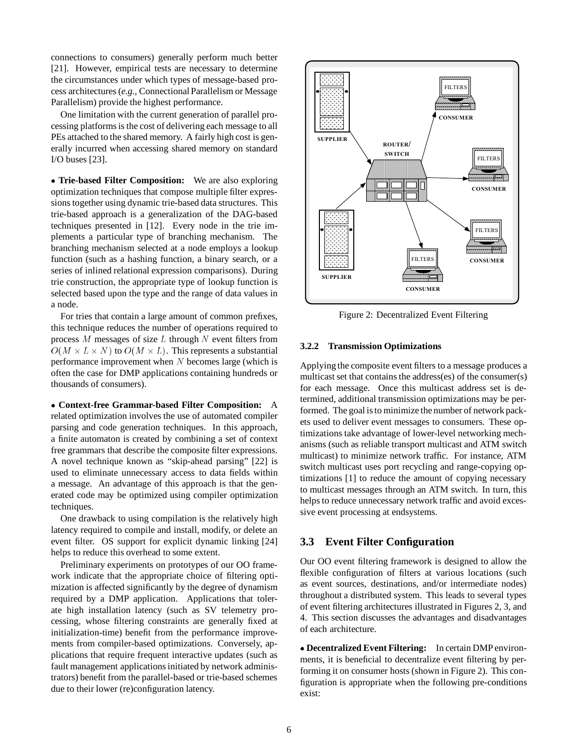connections to consumers) generally perform much better [21]. However, empirical tests are necessary to determine the circumstances under which types of message-based process architectures (*e.g.,* Connectional Parallelism or Message Parallelism) provide the highest performance.

One limitation with the current generation of parallel processing platforms is the cost of delivering each message to all PEs attached to the shared memory. A fairly high cost is generally incurred when accessing shared memory on standard I/O buses [23].

 **Trie-based Filter Composition:** We are also exploring optimization techniques that compose multiple filter expressions together using dynamic trie-based data structures. This trie-based approach is a generalization of the DAG-based techniques presented in [12]. Every node in the trie implements a particular type of branching mechanism. The branching mechanism selected at a node employs a lookup function (such as a hashing function, a binary search, or a series of inlined relational expression comparisons). During trie construction, the appropriate type of lookup function is selected based upon the type and the range of data values in a node.

For tries that contain a large amount of common prefixes, this technique reduces the number of operations required to process  $M$  messages of size  $L$  through  $N$  event filters from  $O(M \times L \times N)$  to  $O(M \times L)$ . This represents a substantial performance improvement when  $N$  becomes large (which is often the case for DMP applications containing hundreds or thousands of consumers).

 **Context-free Grammar-based Filter Composition:** A related optimization involves the use of automated compiler parsing and code generation techniques. In this approach, a finite automaton is created by combining a set of context free grammars that describe the composite filter expressions. A novel technique known as "skip-ahead parsing" [22] is used to eliminate unnecessary access to data fields within a message. An advantage of this approach is that the generated code may be optimized using compiler optimization techniques.

One drawback to using compilation is the relatively high latency required to compile and install, modify, or delete an event filter. OS support for explicit dynamic linking [24] helps to reduce this overhead to some extent.

Preliminary experiments on prototypes of our OO framework indicate that the appropriate choice of filtering optimization is affected significantly by the degree of dynamism required by a DMP application. Applications that tolerate high installation latency (such as SV telemetry processing, whose filtering constraints are generally fixed at initialization-time) benefit from the performance improvements from compiler-based optimizations. Conversely, applications that require frequent interactive updates (such as fault management applications initiated by network administrators) benefit from the parallel-based or trie-based schemes due to their lower (re)configuration latency.



Figure 2: Decentralized Event Filtering

## **3.2.2 Transmission Optimizations**

Applying the composite event filters to a message produces a multicast set that contains the address(es) of the consumer(s) for each message. Once this multicast address set is determined, additional transmission optimizations may be performed. The goal is to minimize the number of network packets used to deliver event messages to consumers. These optimizations take advantage of lower-level networking mechanisms (such as reliable transport multicast and ATM switch multicast) to minimize network traffic. For instance, ATM switch multicast uses port recycling and range-copying optimizations [1] to reduce the amount of copying necessary to multicast messages through an ATM switch. In turn, this helps to reduce unnecessary network traffic and avoid excessive event processing at endsystems.

## **3.3 Event Filter Configuration**

Our OO event filtering framework is designed to allow the flexible configuration of filters at various locations (such as event sources, destinations, and/or intermediate nodes) throughout a distributed system. This leads to several types of event filtering architectures illustrated in Figures 2, 3, and 4. This section discusses the advantages and disadvantages of each architecture.

 **Decentralized Event Filtering:** In certain DMP environments, it is beneficial to decentralize event filtering by performing it on consumer hosts (shown in Figure 2). This configuration is appropriate when the following pre-conditions exist: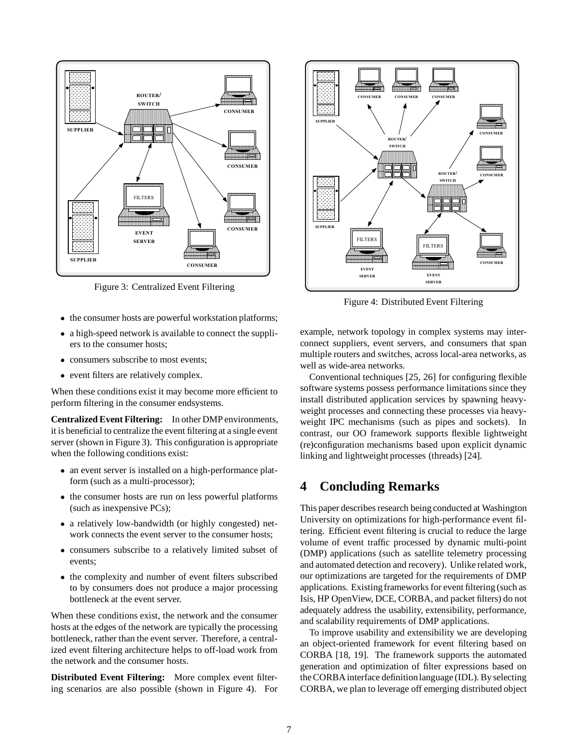

Figure 3: Centralized Event Filtering

- the consumer hosts are powerful workstation platforms;
- a high-speed network is available to connect the suppliers to the consumer hosts;
- consumers subscribe to most events;
- event filters are relatively complex.

When these conditions exist it may become more efficient to perform filtering in the consumer endsystems.

**Centralized Event Filtering:** In other DMP environments, it is beneficial to centralize the event filtering at a single event server (shown in Figure 3). This configuration is appropriate when the following conditions exist:

- an event server is installed on a high-performance platform (such as a multi-processor);
- the consumer hosts are run on less powerful platforms (such as inexpensive PCs);
- a relatively low-bandwidth (or highly congested) network connects the event server to the consumer hosts;
- consumers subscribe to a relatively limited subset of events;
- the complexity and number of event filters subscribed to by consumers does not produce a major processing bottleneck at the event server.

When these conditions exist, the network and the consumer hosts at the edges of the network are typically the processing bottleneck, rather than the event server. Therefore, a centralized event filtering architecture helps to off-load work from the network and the consumer hosts.

**Distributed Event Filtering:** More complex event filtering scenarios are also possible (shown in Figure 4). For



Figure 4: Distributed Event Filtering

example, network topology in complex systems may interconnect suppliers, event servers, and consumers that span multiple routers and switches, across local-area networks, as well as wide-area networks.

Conventional techniques [25, 26] for configuring flexible software systems possess performance limitations since they install distributed application services by spawning heavyweight processes and connecting these processes via heavyweight IPC mechanisms (such as pipes and sockets). In contrast, our OO framework supports flexible lightweight (re)configuration mechanisms based upon explicit dynamic linking and lightweight processes (threads) [24].

# **4 Concluding Remarks**

This paper describes research being conducted at Washington University on optimizations for high-performance event filtering. Efficient event filtering is crucial to reduce the large volume of event traffic processed by dynamic multi-point (DMP) applications (such as satellite telemetry processing and automated detection and recovery). Unlike related work, our optimizations are targeted for the requirements of DMP applications. Existingframeworks for event filtering (such as Isis, HP OpenView, DCE, CORBA, and packet filters) do not adequately address the usability, extensibility, performance, and scalability requirements of DMP applications.

To improve usability and extensibility we are developing an object-oriented framework for event filtering based on CORBA [18, 19]. The framework supports the automated generation and optimization of filter expressions based on the CORBA interface definitionlanguage (IDL). By selecting CORBA, we plan to leverage off emerging distributed object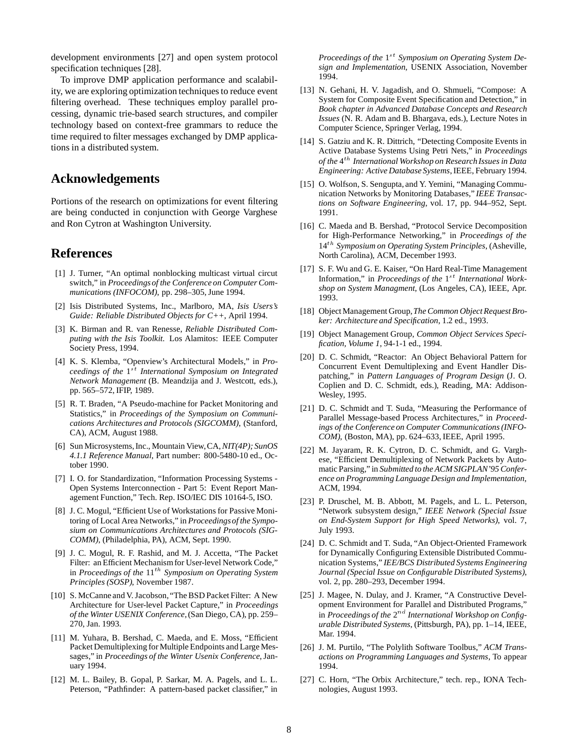development environments [27] and open system protocol specification techniques [28].

To improve DMP application performance and scalability, we are exploring optimization techniques to reduce event filtering overhead. These techniques employ parallel processing, dynamic trie-based search structures, and compiler technology based on context-free grammars to reduce the time required to filter messages exchanged by DMP applications in a distributed system.

## **Acknowledgements**

Portions of the research on optimizations for event filtering are being conducted in conjunction with George Varghese and Ron Cytron at Washington University.

# **References**

- [1] J. Turner, "An optimal nonblocking multicast virtual circut switch," in *Proceedingsof the Conference on Computer Communications (INFOCOM)*, pp. 298–305, June 1994.
- [2] Isis Distributed Systems, Inc., Marlboro, MA, *Isis Users's Guide: Reliable Distributed Objects for C++*, April 1994.
- [3] K. Birman and R. van Renesse, *Reliable Distributed Computing with the Isis Toolkit*. Los Alamitos: IEEE Computer Society Press, 1994.
- [4] K. S. Klemba, "Openview's Architectural Models," in *Proceedings of the* 1st *International Symposium on Integrated Network Management* (B. Meandzija and J. Westcott, eds.), pp. 565–572, IFIP, 1989.
- [5] R. T. Braden, "A Pseudo-machine for Packet Monitoring and Statistics," in *Proceedings of the Symposium on Communications Architectures and Protocols (SIGCOMM)*, (Stanford, CA), ACM, August 1988.
- [6] Sun Microsystems,Inc., Mountain View,CA,*NIT(4P); SunOS 4.1.1 Reference Manual*, Part number: 800-5480-10 ed., October 1990.
- [7] I. O. for Standardization, "Information Processing Systems Open Systems Interconnection - Part 5: Event Report Management Function," Tech. Rep. ISO/IEC DIS 10164-5, ISO.
- [8] J. C. Mogul, "Efficient Use of Workstations for Passive Monitoring of Local Area Networks," in *Proceedingsof the Symposium on Communications Architectures and Protocols (SIG-COMM)*, (Philadelphia, PA), ACM, Sept. 1990.
- [9] J. C. Mogul, R. F. Rashid, and M. J. Accetta, "The Packet Filter: an Efficient Mechanism for User-level Network Code," in *Proceedings of the* 11th *Symposium on Operating System Principles (SOSP)*, November 1987.
- [10] S. McCanne and V. Jacobson, "The BSD Packet Filter: A New Architecture for User-level Packet Capture," in *Proceedings of the Winter USENIX Conference*,(San Diego, CA), pp. 259– 270, Jan. 1993.
- [11] M. Yuhara, B. Bershad, C. Maeda, and E. Moss, "Efficient Packet Demultiplexing for Multiple Endpoints and Large Messages," in *Proceedings of the Winter Usenix Conference*, January 1994.
- [12] M. L. Bailey, B. Gopal, P. Sarkar, M. A. Pagels, and L. L. Peterson, "Pathfinder: A pattern-based packet classifier," in

*Proceedings of the*  $1^{st}$  *Symposium on Operating System Design and Implementation*, USENIX Association, November 1994.

- [13] N. Gehani, H. V. Jagadish, and O. Shmueli, "Compose: A System for Composite Event Specification and Detection," in *Book chapter in Advanced Database Concepts and Research Issues* (N. R. Adam and B. Bhargava, eds.), Lecture Notes in Computer Science, Springer Verlag, 1994.
- [14] S. Gatziu and K. R. Dittrich, "Detecting Composite Events in Active Database Systems Using Petri Nets," in *Proceedings of the* 4th *International Workshop on Research Issues in Data Engineering: Active Database Systems*, IEEE, February 1994.
- [15] O. Wolfson, S. Sengupta, and Y. Yemini, "Managing Communication Networks by Monitoring Databases," *IEEE Transactions on Software Engineering*, vol. 17, pp. 944–952, Sept. 1991.
- [16] C. Maeda and B. Bershad, "Protocol Service Decomposition for High-Performance Networking," in *Proceedings of the* 14th *Symposium on Operating System Principles*, (Asheville, North Carolina), ACM, December 1993.
- [17] S. F. Wu and G. E. Kaiser, "On Hard Real-Time Management Information," in *Proceedings of the* 1<sup>st</sup> *International Workshop on System Managment*, (Los Angeles, CA), IEEE, Apr. 1993.
- [18] Object Management Group, *The Common Object Request Broker: Architecture and Specification*, 1.2 ed., 1993.
- [19] Object Management Group, *Common Object Services Specification, Volume 1*, 94-1-1 ed., 1994.
- [20] D. C. Schmidt, "Reactor: An Object Behavioral Pattern for Concurrent Event Demultiplexing and Event Handler Dispatching," in *Pattern Languages of Program Design* (J. O. Coplien and D. C. Schmidt, eds.), Reading, MA: Addison-Wesley, 1995.
- [21] D. C. Schmidt and T. Suda, "Measuring the Performance of Parallel Message-based Process Architectures," in *Proceedings of the Conference on Computer Communications (INFO-COM)*, (Boston, MA), pp. 624–633, IEEE, April 1995.
- [22] M. Jayaram, R. K. Cytron, D. C. Schmidt, and G. Varghese, "Efficient Demultiplexing of Network Packets by Automatic Parsing," in *Submitted to the ACM SIGPLAN'95 Conference on Programming Language Design and Implementation*, ACM, 1994.
- [23] P. Druschel, M. B. Abbott, M. Pagels, and L. L. Peterson, "Network subsystem design," *IEEE Network (Special Issue on End-System Support for High Speed Networks)*, vol. 7, July 1993.
- [24] D. C. Schmidt and T. Suda, "An Object-Oriented Framework for Dynamically Configuring Extensible Distributed Communication Systems," *IEE/BCS Distributed Systems Engineering Journal (Special Issue on Configurable Distributed Systems)*, vol. 2, pp. 280–293, December 1994.
- [25] J. Magee, N. Dulay, and J. Kramer, "A Constructive Development Environment for Parallel and Distributed Programs," in *Proceedings of the*  $2^{nd}$  *International Workshop on Configurable Distributed Systems*, (Pittsburgh, PA), pp. 1–14, IEEE, Mar. 1994.
- [26] J. M. Purtilo, "The Polylith Software Toolbus," *ACM Transactions on Programming Languages and Systems*, To appear 1994.
- [27] C. Horn, "The Orbix Architecture," tech. rep., IONA Technologies, August 1993.